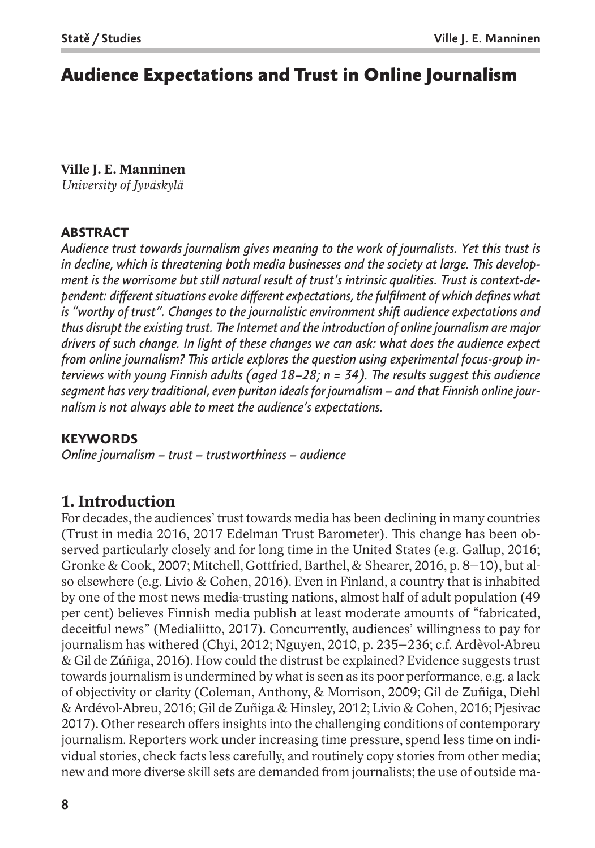# **Audience Expectations and Trust in Online Journalism**

**Ville J. E. Manninen** *University of Jyväskylä*

#### **ABSTRACT**

*Audience trust towards journalism gives meaning to the work of journalists. Yet this trust is in decline, which is threatening both media businesses and the society at large. This development is the worrisome but still natural result of trust's intrinsic qualities. Trust is context-dependent: different situations evoke different expectations, the fulfilment of which defines what is "worthy of trust". Changes to the journalistic environment shift audience expectations and thus disrupt the existing trust. The Internet and the introduction of online journalism are major drivers of such change. In light of these changes we can ask: what does the audience expect from online journalism? This article explores the question using experimental focus-group interviews with young Finnish adults (aged 18–28; n = 34). The results suggest this audience segment has very traditional, even puritan ideals for journalism – and that Finnish online journalism is not always able to meet the audience's expectations.*

#### **KEYWORDS**

*Online journalism – trust – trustworthiness – audience*

# **1. Introduction**

For decades, the audiences' trust towards media has been declining in many countries (Trust in media 2016, 2017 Edelman Trust Barometer). This change has been observed particularly closely and for long time in the United States (e.g. Gallup, 2016; Gronke & Cook, 2007; Mitchell, Gottfried, Barthel, & Shearer, 2016, p. 8–10), but also elsewhere (e.g. Livio & Cohen, 2016). Even in Finland, a country that is inhabited by one of the most news media-trusting nations, almost half of adult population (49 per cent) believes Finnish media publish at least moderate amounts of "fabricated, deceitful news" (Medialiitto, 2017). Concurrently, audiences' willingness to pay for journalism has withered (Chyi, 2012; Nguyen, 2010, p. 235–236; c.f. Ardèvol-Abreu & Gil de Zúñiga, 2016). How could the distrust be explained? Evidence suggests trust towards journalism is undermined by what is seen as its poor performance, e.g. a lack of objectivity or clarity (Coleman, Anthony, & Morrison, 2009; Gil de Zuñiga, Diehl & Ardévol-Abreu, 2016; Gil de Zuñiga & Hinsley, 2012; Livio & Cohen, 2016; Pjesivac 2017). Other research offers insights into the challenging conditions of contemporary journalism. Reporters work under increasing time pressure, spend less time on individual stories, check facts less carefully, and routinely copy stories from other media; new and more diverse skill sets are demanded from journalists; the use of outside ma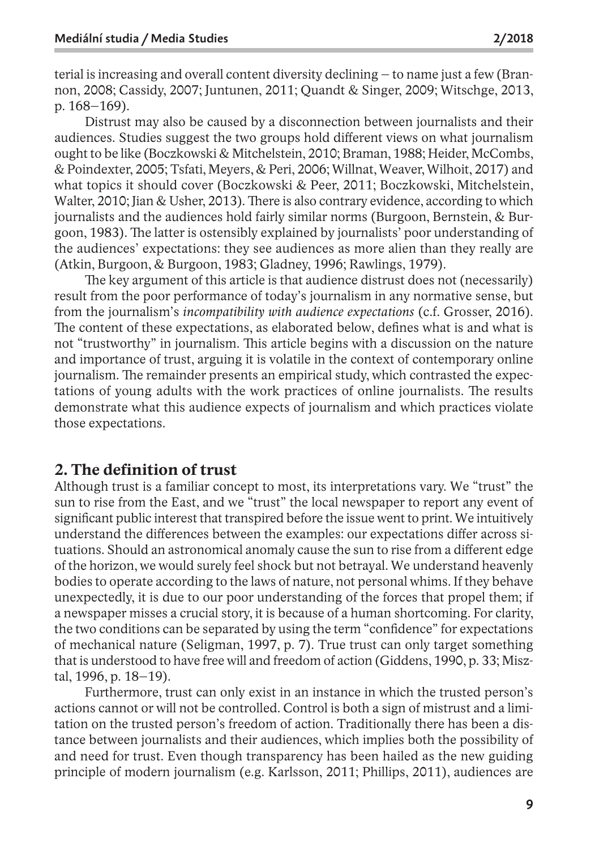terial is increasing and overall content diversity declining – to name just a few (Brannon, 2008; Cassidy, 2007; Juntunen, 2011; Quandt & Singer, 2009; Witschge, 2013, p. 168–169).

Distrust may also be caused by a disconnection between journalists and their audiences. Studies suggest the two groups hold different views on what journalism ought to be like (Boczkowski & Mitchelstein, 2010; Braman, 1988; Heider, McCombs, & Poindexter, 2005; Tsfati, Meyers, & Peri, 2006; Willnat, Weaver, Wilhoit, 2017) and what topics it should cover (Boczkowski & Peer, 2011; Boczkowski, Mitchelstein, Walter, 2010; Jian & Usher, 2013). There is also contrary evidence, according to which journalists and the audiences hold fairly similar norms (Burgoon, Bernstein, & Burgoon, 1983). The latter is ostensibly explained by journalists' poor understanding of the audiences' expectations: they see audiences as more alien than they really are (Atkin, Burgoon, & Burgoon, 1983; Gladney, 1996; Rawlings, 1979).

The key argument of this article is that audience distrust does not (necessarily) result from the poor performance of today's journalism in any normative sense, but from the journalism's *incompatibility with audience expectations* (c.f. Grosser, 2016). The content of these expectations, as elaborated below, defines what is and what is not "trustworthy" in journalism. This article begins with a discussion on the nature and importance of trust, arguing it is volatile in the context of contemporary online journalism. The remainder presents an empirical study, which contrasted the expectations of young adults with the work practices of online journalists. The results demonstrate what this audience expects of journalism and which practices violate those expectations.

# **2. The definition of trust**

Although trust is a familiar concept to most, its interpretations vary. We "trust" the sun to rise from the East, and we "trust" the local newspaper to report any event of significant public interest that transpired before the issue went to print. We intuitively understand the differences between the examples: our expectations differ across situations. Should an astronomical anomaly cause the sun to rise from a different edge of the horizon, we would surely feel shock but not betrayal. We understand heavenly bodies to operate according to the laws of nature, not personal whims. If they behave unexpectedly, it is due to our poor understanding of the forces that propel them; if a newspaper misses a crucial story, it is because of a human shortcoming. For clarity, the two conditions can be separated by using the term "confidence" for expectations of mechanical nature (Seligman, 1997, p. 7). True trust can only target something that is understood to have free will and freedom of action (Giddens, 1990, p. 33; Misztal, 1996, p. 18–19).

Furthermore, trust can only exist in an instance in which the trusted person's actions cannot or will not be controlled. Control is both a sign of mistrust and a limitation on the trusted person's freedom of action. Traditionally there has been a distance between journalists and their audiences, which implies both the possibility of and need for trust. Even though transparency has been hailed as the new guiding principle of modern journalism (e.g. Karlsson, 2011; Phillips, 2011), audiences are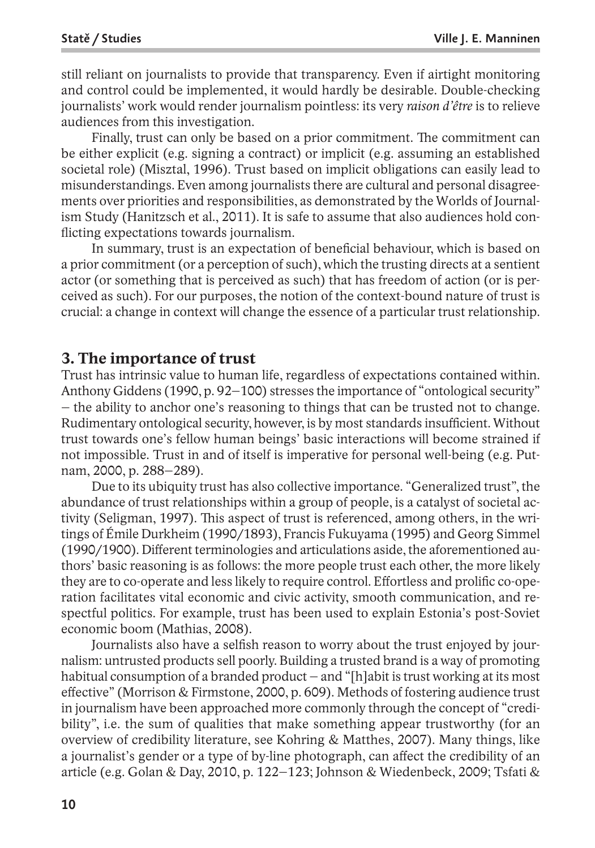still reliant on journalists to provide that transparency. Even if airtight monitoring and control could be implemented, it would hardly be desirable. Double-checking journalists' work would render journalism pointless: its very *raison d'être* is to relieve audiences from this investigation.

Finally, trust can only be based on a prior commitment. The commitment can be either explicit (e.g. signing a contract) or implicit (e.g. assuming an established societal role) (Misztal, 1996). Trust based on implicit obligations can easily lead to misunderstandings. Even among journalists there are cultural and personal disagreements over priorities and responsibilities, as demonstrated by the Worlds of Journalism Study (Hanitzsch et al., 2011). It is safe to assume that also audiences hold conflicting expectations towards journalism.

In summary, trust is an expectation of beneficial behaviour, which is based on a prior commitment(or a perception of such), which the trusting directs at a sentient actor (or something that is perceived as such) that has freedom of action (or is perceived as such). For our purposes, the notion of the context-bound nature of trust is crucial: a change in context will change the essence of a particular trust relationship.

## **3. The importance of trust**

Trust has intrinsic value to human life, regardless of expectations contained within. Anthony Giddens (1990, p. 92–100) stresses the importance of "ontological security" – the ability to anchor one's reasoning to things that can be trusted not to change. Rudimentary ontological security, however, is by most standards insufficient. Without trust towards one's fellow human beings' basic interactions will become strained if not impossible. Trust in and of itself is imperative for personal well-being (e.g. Putnam, 2000, p. 288–289).

Due to its ubiquity trust has also collective importance. "Generalized trust", the abundance of trust relationships within a group of people, is a catalyst of societal activity (Seligman, 1997). This aspect of trust is referenced, among others, in the writings of Émile Durkheim (1990/1893), Francis Fukuyama (1995) and Georg Simmel (1990/1900). Different terminologies and articulations aside, the aforementioned authors' basic reasoning is as follows: the more people trust each other, the more likely they are to co-operate and less likely to require control. Effortless and prolific co-operation facilitates vital economic and civic activity, smooth communication, and respectful politics. For example, trust has been used to explain Estonia's post-Soviet economic boom (Mathias, 2008).

Journalists also have a selfish reason to worry about the trust enjoyed by journalism: untrusted products sell poorly. Building a trusted brand is a way of promoting habitual consumption of a branded product – and "[h]abit is trust working at its most effective" (Morrison & Firmstone, 2000, p. 609). Methods of fostering audience trust in journalism have been approached more commonly through the concept of "credibility", i.e. the sum of qualities that make something appear trustworthy (for an overview of credibility literature, see Kohring & Matthes, 2007). Many things, like a journalist's gender or a type of by-line photograph, can affect the credibility of an article (e.g. Golan & Day, 2010, p. 122–123; Johnson & Wiedenbeck, 2009; Tsfati &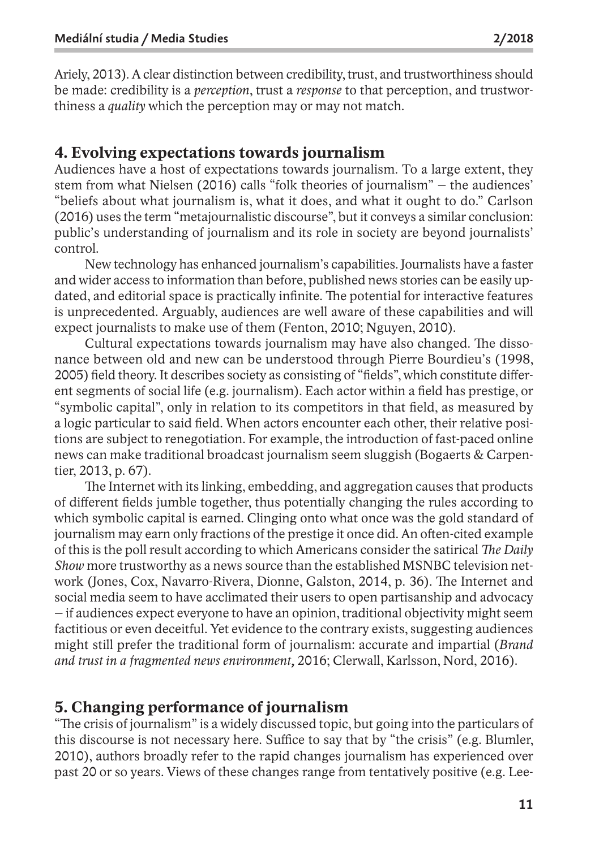Ariely, 2013). A clear distinction between credibility, trust, and trustworthiness should be made: credibility is a *perception*, trust a *response* to that perception, and trustworthiness a *quality* which the perception may or may not match.

# **4. Evolving expectations towards journalism**

Audiences have a host of expectations towards journalism. To a large extent, they stem from what Nielsen (2016) calls "folk theories of journalism" – the audiences' "beliefs about what journalism is, what it does, and what it ought to do." Carlson (2016) uses the term "metajournalistic discourse", but it conveys a similar conclusion: public's understanding of journalism and its role in society are beyond journalists' control.

New technology has enhanced journalism's capabilities. Journalists have a faster and wider access to information than before, published news stories can be easily updated, and editorial space is practically infinite. The potential for interactive features is unprecedented. Arguably, audiences are well aware of these capabilities and will expect journalists to make use of them (Fenton, 2010; Nguyen, 2010).

Cultural expectations towards journalism may have also changed. The dissonance between old and new can be understood through Pierre Bourdieu's (1998, 2005) field theory. It describes society as consisting of "fields", which constitute different segments of social life (e.g. journalism). Each actor within a field has prestige, or "symbolic capital", only in relation to its competitors in that field, as measured by a logic particular to said field. When actors encounter each other, their relative positions are subject to renegotiation. For example, the introduction of fast-paced online news can make traditional broadcast journalism seem sluggish (Bogaerts & Carpentier, 2013, p. 67).

The Internet with its linking, embedding, and aggregation causes that products of different fields jumble together, thus potentially changing the rules according to which symbolic capital is earned. Clinging onto what once was the gold standard of journalism may earn only fractions of the prestige it once did. An often-cited example of this is the poll result according to which Americans consider the satirical *The Daily Show* more trustworthy as a news source than the established MSNBC television network (Jones, Cox, Navarro-Rivera, Dionne, Galston, 2014, p. 36). The Internet and social media seem to have acclimated their users to open partisanship and advocacy – if audiences expect everyone to have an opinion, traditional objectivity might seem factitious or even deceitful. Yet evidence to the contrary exists, suggesting audiences might still prefer the traditional form of journalism: accurate and impartial (*Brand and trust in a fragmented news environment,* 2016; Clerwall, Karlsson, Nord, 2016).

## **5. Changing performance of journalism**

"The crisis of journalism" is a widely discussed topic, but going into the particulars of this discourse is not necessary here. Suffice to say that by "the crisis" (e.g. Blumler, 2010), authors broadly refer to the rapid changes journalism has experienced over past 20 or so years. Views of these changes range from tentatively positive (e.g. Lee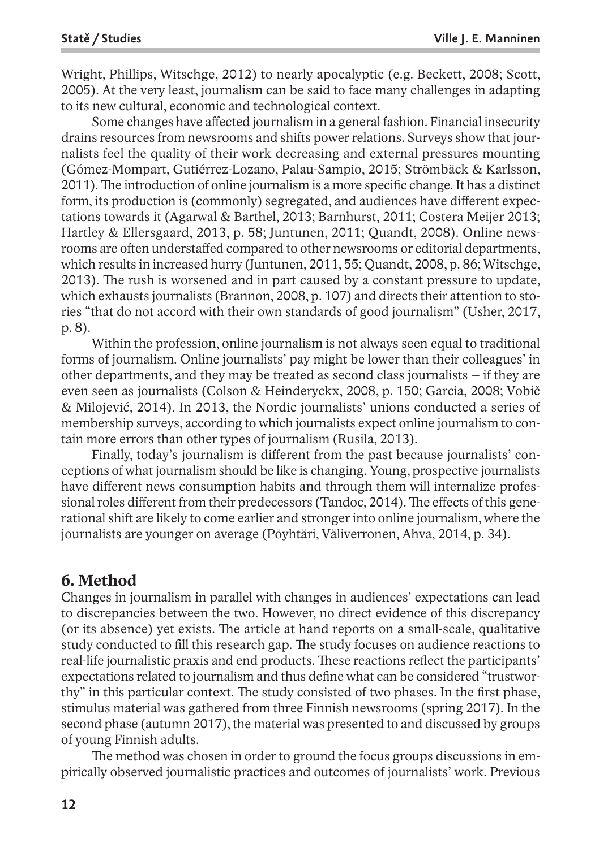Wright, Phillips, Witschge, 2012) to nearly apocalyptic (e.g. Beckett, 2008; Scott, 2005). At the very least, journalism can be said to face many challenges in adapting to its new cultural, economic and technological context.

Some changes have affected journalism in a general fashion. Financial insecurity drains resources from newsrooms and shifts power relations. Surveys show that journalists feel the quality of their work decreasing and external pressures mounting (Gómez-Mompart, Gutiérrez-Lozano, Palau-Sampio, 2015; Strömbäck & Karlsson, 2011).The introduction of online journalism is a more specific change. It has a distinct form, its production is (commonly) segregated, and audiences have different expectations towards it (Agarwal & Barthel, 2013; Barnhurst, 2011; Costera Meijer 2013; Hartley & Ellersgaard, 2013, p. 58; Juntunen, 2011; Quandt, 2008). Online newsrooms are often understaffed compared to other newsrooms or editorial departments, which results in increased hurry (Juntunen, 2011, 55; Quandt, 2008, p. 86; Witschge, 2013). The rush is worsened and in part caused by a constant pressure to update, which exhausts journalists (Brannon, 2008, p. 107) and directs their attention to stories "that do not accord with their own standards of good journalism" (Usher, 2017, p. 8).

Within the profession, online journalism is not always seen equal to traditional forms of journalism. Online journalists' pay might be lower than their colleagues' in other departments, and they may be treated as second class journalists – if they are even seen as journalists (Colson & Heinderyckx, 2008, p. 150; Garcia, 2008; Vobič & Milojević, 2014). In 2013, the Nordic journalists' unions conducted a series of membership surveys, according to which journalists expect online journalism to contain more errors than other types of journalism (Rusila, 2013).

Finally, today's journalism is different from the past because journalists' conceptions of what journalism should be like is changing. Young, prospective journalists have different news consumption habits and through them will internalize professional roles different from their predecessors (Tandoc, 2014). The effects of this generational shift are likely to come earlier and strongerinto online journalism, where the journalists are younger on average (Pöyhtäri, Väliverronen, Ahva, 2014, p. 34).

# **6. Method**

Changes in journalism in parallel with changes in audiences' expectations can lead to discrepancies between the two. However, no direct evidence of this discrepancy (or its absence) yet exists. The article at hand reports on a small-scale, qualitative study conducted to fill this research gap. The study focuses on audience reactions to real-life journalistic praxis and end products. These reactions reflect the participants' expectations related to journalism and thus define what can be considered "trustworthy" in this particular context. The study consisted of two phases. In the first phase, stimulus material was gathered from three Finnish newsrooms (spring 2017). In the second phase (autumn 2017), the material was presented to and discussed by groups of young Finnish adults.

The method was chosen in order to ground the focus groups discussions in empirically observed journalistic practices and outcomes of journalists' work. Previous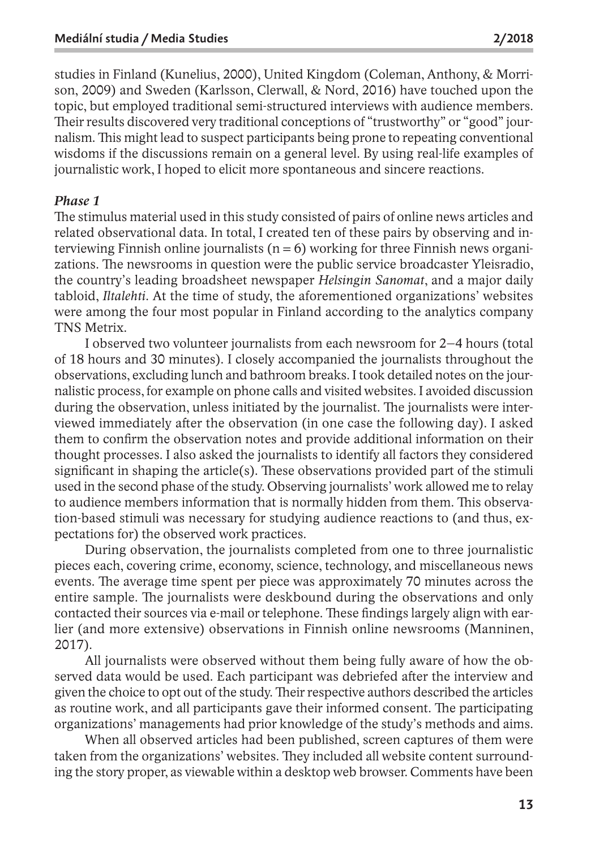studies in Finland (Kunelius, 2000), United Kingdom (Coleman, Anthony, & Morrison, 2009) and Sweden (Karlsson, Clerwall, & Nord, 2016) have touched upon the topic, but employed traditional semi-structured interviews with audience members. Their results discovered very traditional conceptions of "trustworthy" or "good" journalism.This might lead to suspect participants being prone to repeating conventional wisdoms if the discussions remain on a general level. By using real-life examples of journalistic work, I hoped to elicit more spontaneous and sincere reactions.

#### *Phase 1*

The stimulus material used in this study consisted of pairs of online news articles and related observational data. In total, I created ten of these pairs by observing and interviewing Finnish online journalists ( $n = 6$ ) working for three Finnish news organizations. The newsrooms in question were the public service broadcaster Yleisradio, the country's leading broadsheet newspaper *Helsingin Sanomat*, and a major daily tabloid, *Iltalehti*. At the time of study, the aforementioned organizations' websites were among the four most popular in Finland according to the analytics company TNS Metrix.

I observed two volunteer journalists from each newsroom for 2–4 hours (total of 18 hours and 30 minutes). I closely accompanied the journalists throughout the observations, excluding lunch and bathroom breaks. I took detailed notes on the journalistic process, for example on phone calls and visited websites. I avoided discussion during the observation, unless initiated by the journalist. The journalists were interviewed immediately after the observation (in one case the following day). I asked them to confirm the observation notes and provide additional information on their thought processes. I also asked the journalists to identify all factors they considered significant in shaping the article(s). These observations provided part of the stimuli used in the second phase of the study. Observing journalists' work allowed me to relay to audience members information that is normally hidden from them. This observation-based stimuli was necessary for studying audience reactions to (and thus, expectations for) the observed work practices.

During observation, the journalists completed from one to three journalistic pieces each, covering crime, economy, science, technology, and miscellaneous news events. The average time spent per piece was approximately 70 minutes across the entire sample. The journalists were deskbound during the observations and only contacted their sources via e-mail or telephone. These findings largely align with earlier (and more extensive) observations in Finnish online newsrooms (Manninen, 2017).

All journalists were observed without them being fully aware of how the observed data would be used. Each participant was debriefed after the interview and given the choice to opt out of the study.Theirrespective authors described the articles as routine work, and all participants gave their informed consent. The participating organizations' managements had prior knowledge of the study's methods and aims.

When all observed articles had been published, screen captures of them were taken from the organizations' websites. They included all website content surrounding the story proper, as viewable within a desktop web browser. Comments have been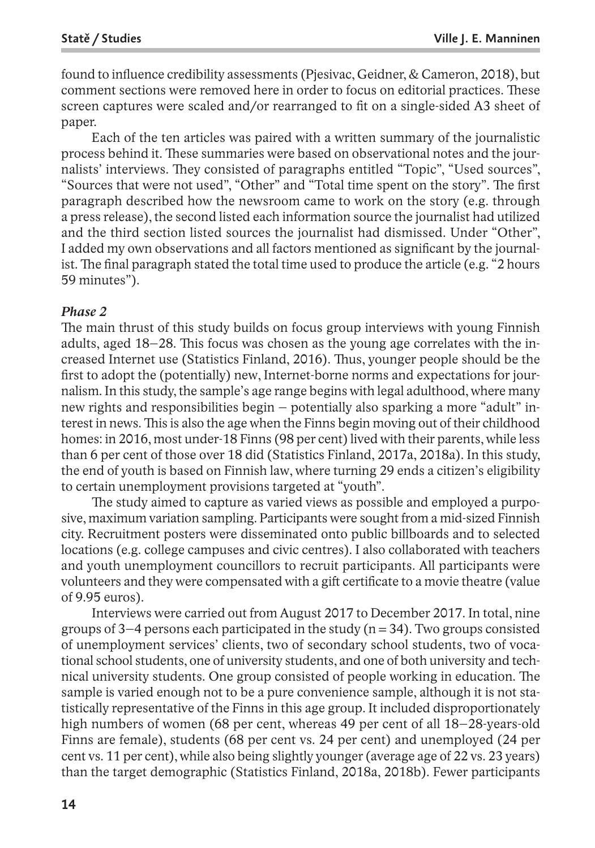found to influence credibility assessments (Pjesivac, Geidner, & Cameron, 2018), but comment sections were removed here in order to focus on editorial practices. These screen captures were scaled and/or rearranged to fit on a single-sided A3 sheet of paper.

Each of the ten articles was paired with a written summary of the journalistic process behind it. These summaries were based on observational notes and the journalists' interviews. They consisted of paragraphs entitled "Topic", "Used sources", "Sources that were not used", "Other" and "Total time spent on the story". The first paragraph described how the newsroom came to work on the story (e.g. through a press release), the second listed each information source the journalist had utilized and the third section listed sources the journalist had dismissed. Under "Other", I added my own observations and all factors mentioned as significant by the journalist. The final paragraph stated the total time used to produce the article (e.g. "2 hours 59 minutes").

#### *Phase 2*

The main thrust of this study builds on focus group interviews with young Finnish adults, aged 18–28. This focus was chosen as the young age correlates with the increased Internet use (Statistics Finland, 2016). Thus, younger people should be the first to adopt the (potentially) new, Internet-borne norms and expectations for journalism. In this study, the sample's age range begins with legal adulthood, where many new rights and responsibilities begin – potentially also sparking a more "adult" interest in news.This is also the age when the Finns begin moving out of their childhood homes: in 2016, most under-18 Finns (98 per cent) lived with their parents, while less than 6 per cent of those over 18 did (Statistics Finland, 2017a, 2018a). In this study, the end of youth is based on Finnish law, where turning 29 ends a citizen's eligibility to certain unemployment provisions targeted at "youth".

The study aimed to capture as varied views as possible and employed a purposive, maximum variation sampling. Participants were sought from a mid-sized Finnish city. Recruitment posters were disseminated onto public billboards and to selected locations (e.g. college campuses and civic centres). I also collaborated with teachers and youth unemployment councillors to recruit participants. All participants were volunteers and they were compensated with a gift certificate to a movie theatre (value of 9.95 euros).

Interviews were carried out from August 2017 to December 2017. In total, nine groups of 3–4 persons each participated in the study ( $n = 34$ ). Two groups consisted of unemployment services' clients, two of secondary school students, two of vocational school students, one of university students, and one of both university and technical university students. One group consisted of people working in education. The sample is varied enough not to be a pure convenience sample, although it is not statistically representative of the Finns in this age group. It included disproportionately high numbers of women (68 per cent, whereas 49 per cent of all 18–28-years-old Finns are female), students (68 per cent vs. 24 per cent) and unemployed (24 per cent vs. 11 per cent), while also being slightly younger(average age of 22 vs. 23 years) than the target demographic (Statistics Finland, 2018a, 2018b). Fewer participants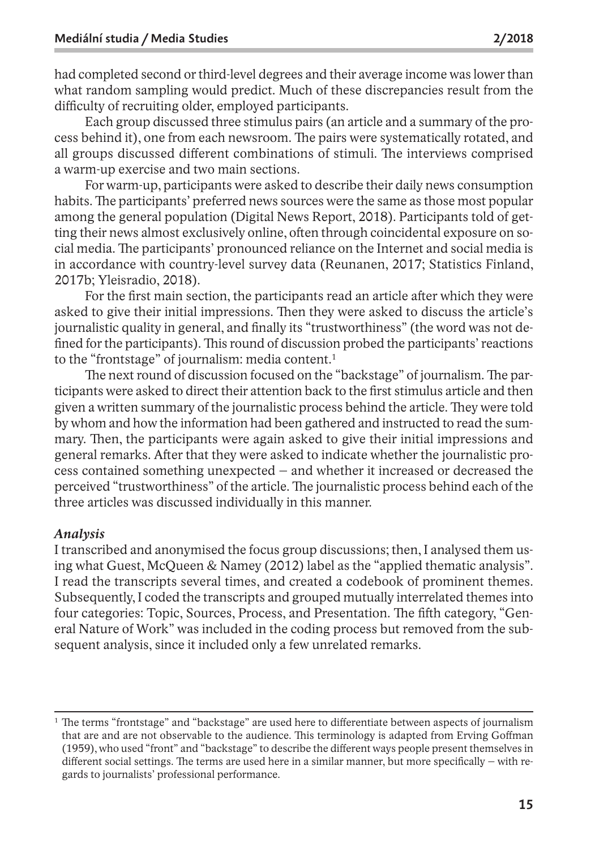had completed second orthird-level degrees and their average income was lowerthan what random sampling would predict. Much of these discrepancies result from the difficulty of recruiting older, employed participants.

Each group discussed three stimulus pairs (an article and a summary of the process behind it), one from each newsroom. The pairs were systematically rotated, and all groups discussed different combinations of stimuli. The interviews comprised a warm-up exercise and two main sections.

For warm-up, participants were asked to describe their daily news consumption habits. The participants' preferred news sources were the same as those most popular among the general population (Digital News Report, 2018). Participants told of getting their news almost exclusively online, often through coincidental exposure on social media. The participants' pronounced reliance on the Internet and social media is in accordance with country-level survey data (Reunanen, 2017; Statistics Finland, 2017b; Yleisradio, 2018).

For the first main section, the participants read an article after which they were asked to give their initial impressions. Then they were asked to discuss the article's journalistic quality in general, and finally its "trustworthiness" (the word was not defined forthe participants).This round of discussion probed the participants'reactions to the "frontstage" of journalism: media content. 1

The next round of discussion focused on the "backstage" of journalism. The participants were asked to direct their attention back to the first stimulus article and then given a written summary of the journalistic process behind the article. They were told by whom and how the information had been gathered and instructed to read the summary. Then, the participants were again asked to give their initial impressions and general remarks. After that they were asked to indicate whether the journalistic process contained something unexpected – and whether it increased or decreased the perceived "trustworthiness" of the article. The journalistic process behind each of the three articles was discussed individually in this manner.

#### *Analysis*

I transcribed and anonymised the focus group discussions; then, I analysed them using what Guest, McQueen & Namey (2012) label as the "applied thematic analysis". I read the transcripts several times, and created a codebook of prominent themes. Subsequently, I coded the transcripts and grouped mutually interrelated themes into four categories: Topic, Sources, Process, and Presentation. The fifth category, "General Nature of Work" was included in the coding process but removed from the subsequent analysis, since it included only a few unrelated remarks.

<sup>&</sup>lt;sup>1</sup> The terms "frontstage" and "backstage" are used here to differentiate between aspects of journalism that are and are not observable to the audience. This terminology is adapted from Erving Goffman (1959), who used "front" and "backstage" to describe the different ways people present themselves in different social settings. The terms are used here in a similar manner, but more specifically – with regards to journalists' professional performance.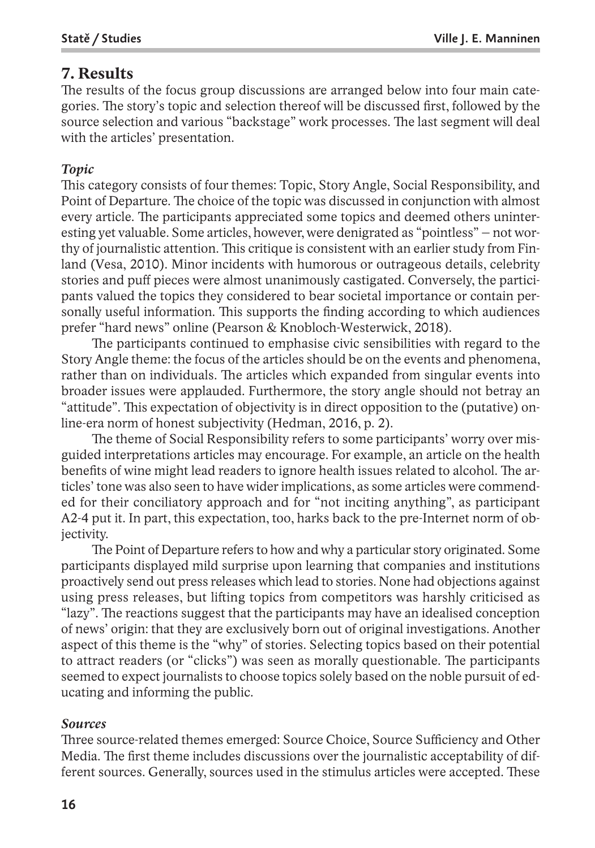# **7. Results**

The results of the focus group discussions are arranged below into four main categories. The story's topic and selection thereof will be discussed first, followed by the source selection and various "backstage" work processes. The last segment will deal with the articles' presentation.

## *Topic*

This category consists of four themes: Topic, Story Angle, Social Responsibility, and Point of Departure. The choice of the topic was discussed in conjunction with almost every article. The participants appreciated some topics and deemed others uninteresting yet valuable. Some articles, however, were denigrated as "pointless" – not worthy of journalistic attention. This critique is consistent with an earlier study from Finland (Vesa, 2010). Minor incidents with humorous or outrageous details, celebrity stories and puff pieces were almost unanimously castigated. Conversely, the participants valued the topics they considered to bear societal importance or contain personally useful information. This supports the finding according to which audiences prefer "hard news" online (Pearson & Knobloch-Westerwick, 2018).

The participants continued to emphasise civic sensibilities with regard to the Story Angle theme: the focus of the articles should be on the events and phenomena, rather than on individuals. The articles which expanded from singular events into broader issues were applauded. Furthermore, the story angle should not betray an "attitude". This expectation of objectivity is in direct opposition to the (putative) online-era norm of honest subjectivity (Hedman, 2016, p. 2).

The theme of Social Responsibility refers to some participants' worry over misguided interpretations articles may encourage. For example, an article on the health benefits of wine might lead readers to ignore health issues related to alcohol. The articles' tone was also seen to have widerimplications, as some articles were commended for their conciliatory approach and for "not inciting anything", as participant A2-4 put it. In part, this expectation, too, harks back to the pre-Internet norm of objectivity.

The Point of Departure refers to how and why a particular story originated. Some participants displayed mild surprise upon learning that companies and institutions proactively send out press releases which lead to stories. None had objections against using press releases, but lifting topics from competitors was harshly criticised as "lazy". The reactions suggest that the participants may have an idealised conception of news' origin: that they are exclusively born out of original investigations. Another aspect of this theme is the "why" of stories. Selecting topics based on their potential to attract readers (or "clicks") was seen as morally questionable. The participants seemed to expect journalists to choose topics solely based on the noble pursuit of educating and informing the public.

#### *Sources*

Three source-related themes emerged: Source Choice, Source Sufficiency and Other Media. The first theme includes discussions over the journalistic acceptability of different sources. Generally, sources used in the stimulus articles were accepted. These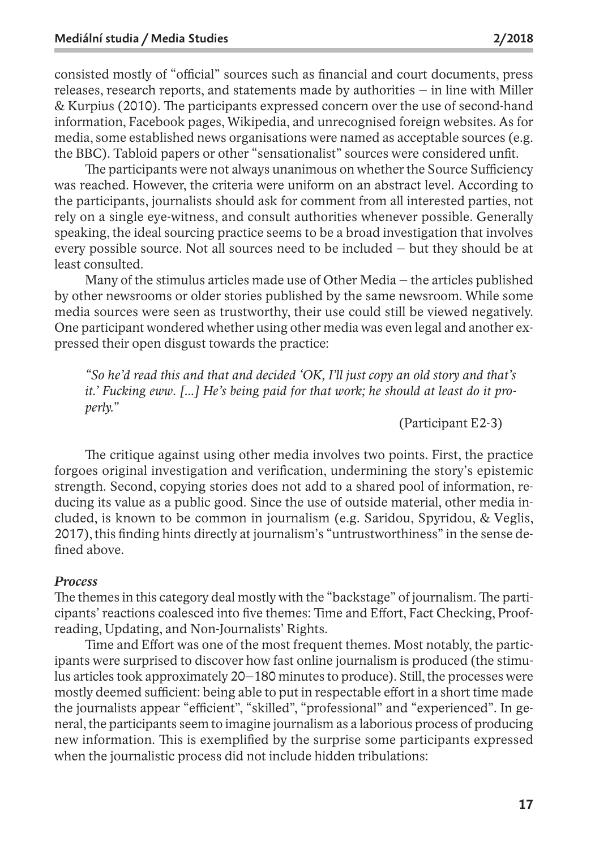consisted mostly of "official" sources such as financial and court documents, press releases, research reports, and statements made by authorities – in line with Miller & Kurpius (2010). The participants expressed concern over the use of second-hand information, Facebook pages, Wikipedia, and unrecognised foreign websites. As for media, some established news organisations were named as acceptable sources (e.g. the BBC). Tabloid papers or other "sensationalist" sources were considered unfit.

The participants were not always unanimous on whether the Source Sufficiency was reached. However, the criteria were uniform on an abstract level. According to the participants, journalists should ask for comment from all interested parties, not rely on a single eye-witness, and consult authorities whenever possible. Generally speaking, the ideal sourcing practice seems to be a broad investigation that involves every possible source. Not all sources need to be included – but they should be at least consulted.

Many of the stimulus articles made use of Other Media – the articles published by other newsrooms or older stories published by the same newsroom. While some media sources were seen as trustworthy, their use could still be viewed negatively. One participant wondered whether using other media was even legal and another expressed their open disgust towards the practice:

*"So he'd read this and that and decided 'OK, I'll just copy an old story and that's it.' Fucking eww. [...] He's being paid for that work; he should at least do it properly."*

(Participant E2-3)

The critique against using other media involves two points. First, the practice forgoes original investigation and verification, undermining the story's epistemic strength. Second, copying stories does not add to a shared pool of information, reducing its value as a public good. Since the use of outside material, other media included, is known to be common in journalism (e.g. Saridou, Spyridou, & Veglis, 2017), this finding hints directly at journalism's "untrustworthiness" in the sense defined above.

#### *Process*

The themes in this category deal mostly with the "backstage" of journalism. The participants' reactions coalesced into five themes: Time and Effort, Fact Checking, Proofreading, Updating, and Non-Journalists' Rights.

Time and Effort was one of the most frequent themes. Most notably, the participants were surprised to discover how fast online journalism is produced (the stimulus articles took approximately 20–180 minutes to produce). Still, the processes were mostly deemed sufficient: being able to put in respectable effort in a short time made the journalists appear "efficient", "skilled", "professional" and "experienced". In general, the participants seem to imagine journalism as a laborious process of producing new information. This is exemplified by the surprise some participants expressed when the journalistic process did not include hidden tribulations: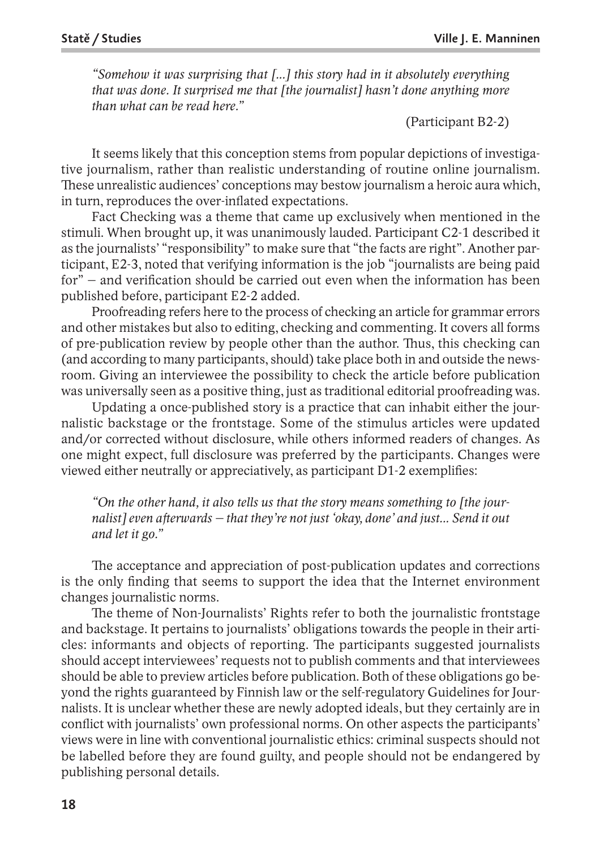*"Somehow it was surprising that [...] this story had in it absolutely everything that was done. It surprised me that [the journalist] hasn't done anything more than what can be read here."*

(Participant B2-2)

It seems likely that this conception stems from popular depictions of investigative journalism, rather than realistic understanding of routine online journalism. These unrealistic audiences' conceptions may bestow journalism a heroic aura which, in turn, reproduces the over-inflated expectations.

Fact Checking was a theme that came up exclusively when mentioned in the stimuli. When brought up, it was unanimously lauded. Participant C2-1 described it as the journalists' "responsibility" to make sure that "the facts are right". Another participant, E2-3, noted that verifying information is the job "journalists are being paid for" – and verification should be carried out even when the information has been published before, participant E2-2 added.

Proofreading refers here to the process of checking an article for grammar errors and other mistakes but also to editing, checking and commenting. It covers all forms of pre-publication review by people other than the author. Thus, this checking can (and according to many participants, should) take place both in and outside the newsroom. Giving an interviewee the possibility to check the article before publication was universally seen as a positive thing, just as traditional editorial proofreading was.

Updating a once-published story is a practice that can inhabit either the journalistic backstage or the frontstage. Some of the stimulus articles were updated and/or corrected without disclosure, while others informed readers of changes. As one might expect, full disclosure was preferred by the participants. Changes were viewed either neutrally or appreciatively, as participant D1-2 exemplifies:

*"On the other hand, it also tells us that the story means something to [the journalist] even afterwards – that they're not just 'okay, done' and just... Send it out and let it go."*

The acceptance and appreciation of post-publication updates and corrections is the only finding that seems to support the idea that the Internet environment changes journalistic norms.

The theme of Non-Journalists' Rights refer to both the journalistic frontstage and backstage. It pertains to journalists' obligations towards the people in their articles: informants and objects of reporting. The participants suggested journalists should accept interviewees' requests not to publish comments and that interviewees should be able to preview articles before publication. Both of these obligations go beyond the rights guaranteed by Finnish law or the self-regulatory Guidelines for Journalists. It is unclear whether these are newly adopted ideals, but they certainly are in conflict with journalists' own professional norms. On other aspects the participants' views were in line with conventional journalistic ethics: criminal suspects should not be labelled before they are found guilty, and people should not be endangered by publishing personal details.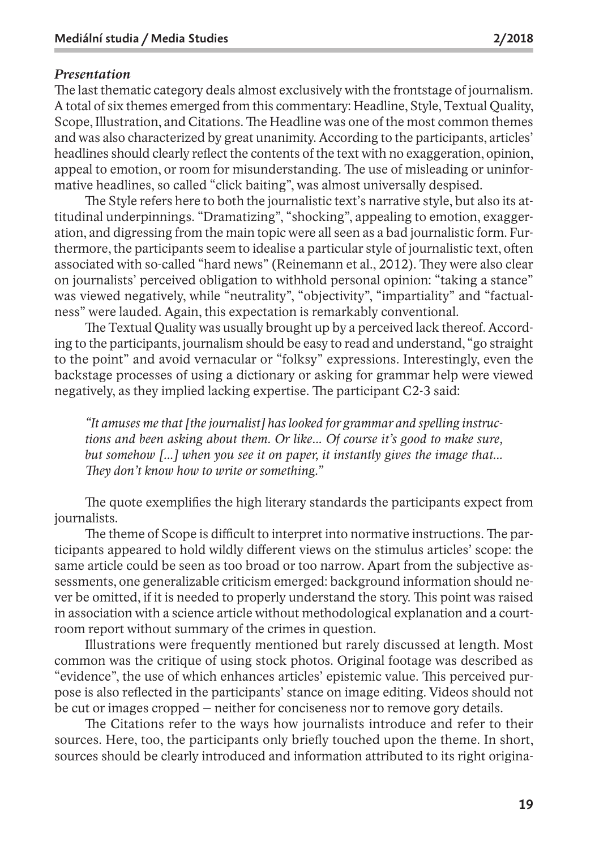#### *Presentation*

The last thematic category deals almost exclusively with the frontstage of journalism. A total of six themes emerged from this commentary: Headline, Style, Textual Quality, Scope, Illustration, and Citations. The Headline was one of the most common themes and was also characterized by great unanimity. According to the participants, articles' headlines should clearly reflect the contents of the text with no exaggeration, opinion, appeal to emotion, or room for misunderstanding. The use of misleading or uninformative headlines, so called "click baiting", was almost universally despised.

The Style refers here to both the journalistic text's narrative style, but also its attitudinal underpinnings. "Dramatizing", "shocking", appealing to emotion, exaggeration, and digressing from the main topic were all seen as a bad journalistic form. Furthermore, the participants seem to idealise a particular style of journalistic text, often associated with so-called "hard news" (Reinemann et al., 2012). They were also clear on journalists' perceived obligation to withhold personal opinion: "taking a stance" was viewed negatively, while "neutrality", "objectivity", "impartiality" and "factualness" were lauded. Again, this expectation is remarkably conventional.

The Textual Quality was usually brought up by a perceived lack thereof. According to the participants, journalism should be easy to read and understand, "go straight to the point" and avoid vernacular or "folksy" expressions. Interestingly, even the backstage processes of using a dictionary or asking for grammar help were viewed negatively, as they implied lacking expertise. The participant C2-3 said:

*"It amuses me that [the journalist] has looked for grammar and spelling instructions and been asking about them. Or like... Of course it's good to make sure, but somehow [...] when you see it on paper, it instantly gives the image that... They don't know how to write or something."*

The quote exemplifies the high literary standards the participants expect from journalists.

The theme of Scope is difficult to interpret into normative instructions. The participants appeared to hold wildly different views on the stimulus articles' scope: the same article could be seen as too broad or too narrow. Apart from the subjective assessments, one generalizable criticism emerged: background information should never be omitted, if it is needed to properly understand the story. This point was raised in association with a science article without methodological explanation and a courtroom report without summary of the crimes in question.

Illustrations were frequently mentioned but rarely discussed at length. Most common was the critique of using stock photos. Original footage was described as "evidence", the use of which enhances articles' epistemic value. This perceived purpose is also reflected in the participants' stance on image editing. Videos should not be cut or images cropped – neither for conciseness nor to remove gory details.

The Citations refer to the ways how journalists introduce and refer to their sources. Here, too, the participants only briefly touched upon the theme. In short, sources should be clearly introduced and information attributed to its right origina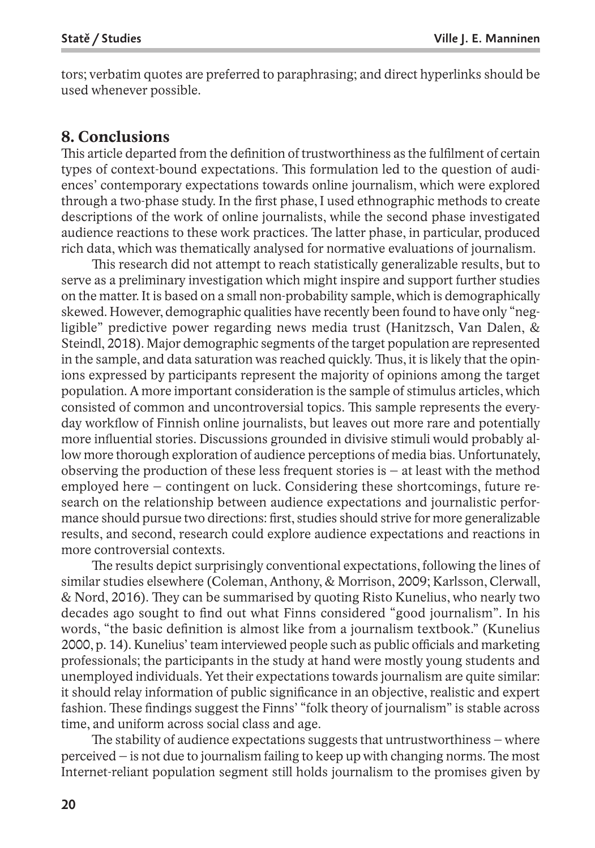tors; verbatim quotes are preferred to paraphrasing; and direct hyperlinks should be used whenever possible.

# **8. Conclusions**

This article departed from the definition of trustworthiness as the fulfilment of certain types of context-bound expectations. This formulation led to the question of audiences' contemporary expectations towards online journalism, which were explored through a two-phase study. In the first phase, I used ethnographic methods to create descriptions of the work of online journalists, while the second phase investigated audience reactions to these work practices. The latter phase, in particular, produced rich data, which was thematically analysed for normative evaluations of journalism.

This research did not attempt to reach statistically generalizable results, but to serve as a preliminary investigation which might inspire and support further studies on the matter. It is based on a small non-probability sample, which is demographically skewed. However, demographic qualities have recently been found to have only "negligible" predictive power regarding news media trust (Hanitzsch, Van Dalen, & Steindl, 2018). Major demographic segments of the target population are represented in the sample, and data saturation was reached quickly. Thus, it is likely that the opinions expressed by participants represent the majority of opinions among the target population. A more important consideration is the sample of stimulus articles, which consisted of common and uncontroversial topics. This sample represents the everyday workflow of Finnish online journalists, but leaves out more rare and potentially more influential stories. Discussions grounded in divisive stimuli would probably allow more thorough exploration of audience perceptions of media bias. Unfortunately, observing the production of these less frequent stories is  $-$  at least with the method employed here – contingent on luck. Considering these shortcomings, future research on the relationship between audience expectations and journalistic performance should pursue two directions: first, studies should strive for more generalizable results, and second, research could explore audience expectations and reactions in more controversial contexts.

The results depict surprisingly conventional expectations, following the lines of similar studies elsewhere (Coleman, Anthony, & Morrison, 2009; Karlsson, Clerwall, & Nord, 2016). They can be summarised by quoting Risto Kunelius, who nearly two decades ago sought to find out what Finns considered "good journalism". In his words, "the basic definition is almost like from a journalism textbook." (Kunelius 2000, p. 14). Kunelius' team interviewed people such as public officials and marketing professionals; the participants in the study at hand were mostly young students and unemployed individuals. Yet their expectations towards journalism are quite similar: it should relay information of public significance in an objective, realistic and expert fashion. These findings suggest the Finns' "folk theory of journalism" is stable across time, and uniform across social class and age.

The stability of audience expectations suggests that untrustworthiness – where perceived – is not due to journalism failing to keep up with changing norms.The most Internet-reliant population segment still holds journalism to the promises given by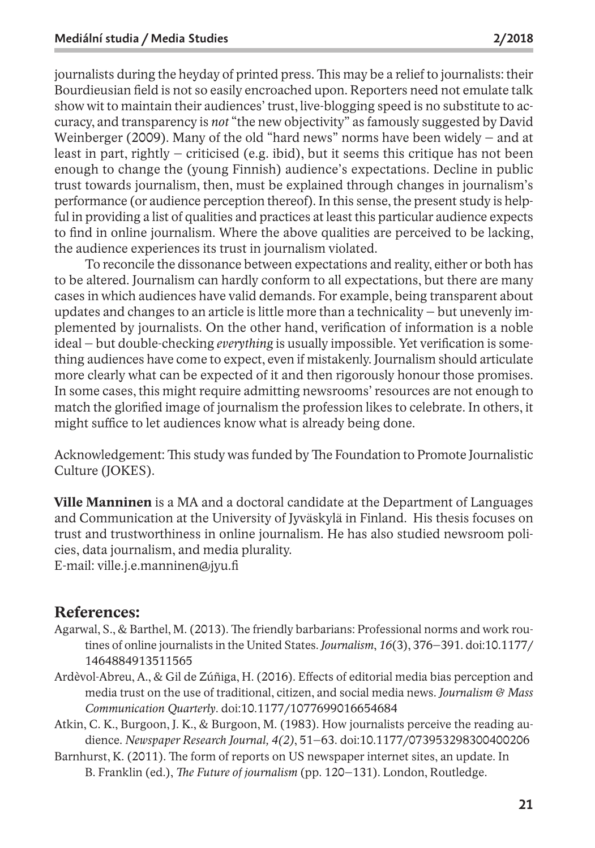journalists during the heyday of printed press. This may be a relief to journalists: their Bourdieusian field is not so easily encroached upon. Reporters need not emulate talk show wit to maintain their audiences' trust, live-blogging speed is no substitute to accuracy, and transparency is *not* "the new objectivity" as famously suggested by David Weinberger (2009). Many of the old "hard news" norms have been widely – and at least in part, rightly – criticised (e.g. ibid), but it seems this critique has not been enough to change the (young Finnish) audience's expectations. Decline in public trust towards journalism, then, must be explained through changes in journalism's performance (or audience perception thereof). In this sense, the present study is helpful in providing a list of qualities and practices at least this particular audience expects to find in online journalism. Where the above qualities are perceived to be lacking, the audience experiences its trust in journalism violated.

To reconcile the dissonance between expectations and reality, either or both has to be altered. Journalism can hardly conform to all expectations, but there are many cases in which audiences have valid demands. For example, being transparent about updates and changes to an article is little more than a technicality – but unevenly implemented by journalists. On the other hand, verification of information is a noble ideal – but double-checking *everything* is usually impossible. Yet verification is something audiences have come to expect, even if mistakenly. Journalism should articulate more clearly what can be expected of it and then rigorously honour those promises. In some cases, this might require admitting newsrooms' resources are not enough to match the glorified image of journalism the profession likes to celebrate. In others, it might suffice to let audiences know what is already being done.

Acknowledgement: This study was funded by The Foundation to Promote Journalistic Culture (JOKES).

**Ville Manninen** is a MA and a doctoral candidate at the Department of Languages and Communication at the University of Jyväskylä in Finland. His thesis focuses on trust and trustworthiness in online journalism. He has also studied newsroom policies, data journalism, and media plurality. E-mail: ville.j.e.manninen@jyu.fi

# **References:**

- Agarwal, S., & Barthel, M. (2013). The friendly barbarians: Professional norms and work routines of online journalists in the United States. *Journalism*, *16*(3), 376–391. doi:10.1177/ 1464884913511565
- Ardèvol-Abreu, A., & Gil de Zúñiga, H. (2016). Effects of editorial media bias perception and media trust on the use of traditional, citizen, and social media news. *Journalism & Mass Communication Quarterly*. doi:10.1177/1077699016654684
- Atkin, C. K., Burgoon, J. K., & Burgoon, M. (1983). How journalists perceive the reading audience. *Newspaper Research Journal, 4(2)*, 51–63. doi:10.1177/073953298300400206
- Barnhurst, K. (2011). The form of reports on US newspaper internet sites, an update. In B. Franklin (ed.), *The Future of journalism* (pp. 120–131). London, Routledge.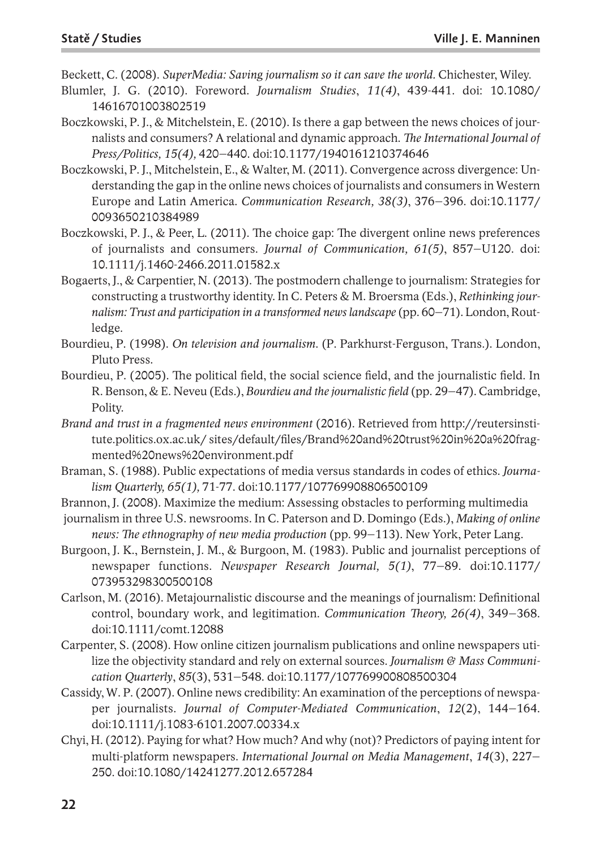Beckett, C. (2008). *SuperMedia: Saving journalism so it can save the world.* Chichester, Wiley.

- Blumler, J. G. (2010). Foreword. *Journalism Studies*, *11(4)*, 439-441. doi: 10.1080/ 14616701003802519
- Boczkowski, P. J., & Mitchelstein, E. (2010). Is there a gap between the news choices of journalists and consumers? A relational and dynamic approach. *The International Journal of Press/Politics, 15(4),* 420–440. doi:10.1177/1940161210374646
- Boczkowski, P. J., Mitchelstein, E., & Walter, M. (2011). Convergence across divergence: Understanding the gap in the online news choices of journalists and consumers in Western Europe and Latin America. *Communication Research, 38(3)*, 376–396. doi:10.1177/ 0093650210384989
- Boczkowski, P. J., & Peer, L. (2011). The choice gap: The divergent online news preferences of journalists and consumers. *Journal of Communication, 61(5)*, 857–U120. doi: 10.1111/j.1460-2466.2011.01582.x
- Bogaerts, J., & Carpentier, N. (2013). The postmodern challenge to journalism: Strategies for constructing a trustworthy identity. In C. Peters & M. Broersma (Eds.), *Rethinking journalism: Trust and participation in a transformed news landscape* (pp. 60–71). London, Routledge.
- Bourdieu, P. (1998). *On television and journalism*. (P. Parkhurst-Ferguson, Trans.). London, Pluto Press.
- Bourdieu, P. (2005). The political field, the social science field, and the journalistic field. In R. Benson, & E. Neveu (Eds.), *Bourdieu and the journalistic field* (pp. 29–47). Cambridge, Polity.
- *Brand and trust in a fragmented news environment* (2016). Retrieved from http://reutersinstitute.politics.ox.ac.uk/ sites/default/files/Brand%20and%20trust%20in%20a%20fragmented%20news%20environment.pdf
- Braman, S. (1988). Public expectations of media versus standards in codes of ethics. *Journalism Quarterly, 65(1),* 71-77. doi:10.1177/107769908806500109
- Brannon, J. (2008). Maximize the medium: Assessing obstacles to performing multimedia
- journalism in three U.S. newsrooms. In C. Paterson and D. Domingo (Eds.), *Making of online news: The ethnography of new media production* (pp. 99–113). New York, Peter Lang.
- Burgoon, J. K., Bernstein, J. M., & Burgoon, M. (1983). Public and journalist perceptions of newspaper functions. *Newspaper Research Journal, 5(1)*, 77–89. doi:10.1177/ 073953298300500108
- Carlson, M. (2016). Metajournalistic discourse and the meanings of journalism: Definitional control, boundary work, and legitimation. *Communication Theory, 26(4)*, 349–368. doi:10.1111/comt.12088
- Carpenter, S. (2008). How online citizen journalism publications and online newspapers utilize the objectivity standard and rely on external sources. *Journalism & Mass Communication Quarterly*, *85*(3), 531–548. doi:10.1177/107769900808500304
- Cassidy, W. P. (2007). Online news credibility: An examination of the perceptions of newspaper journalists. *Journal of Computer-Mediated Communication*, *12*(2), 144–164. doi:10.1111/j.1083-6101.2007.00334.x
- Chyi, H. (2012). Paying for what? How much? And why (not)? Predictors of paying intent for multi-platform newspapers. *International Journal on Media Management*, *14*(3), 227– 250. doi:10.1080/14241277.2012.657284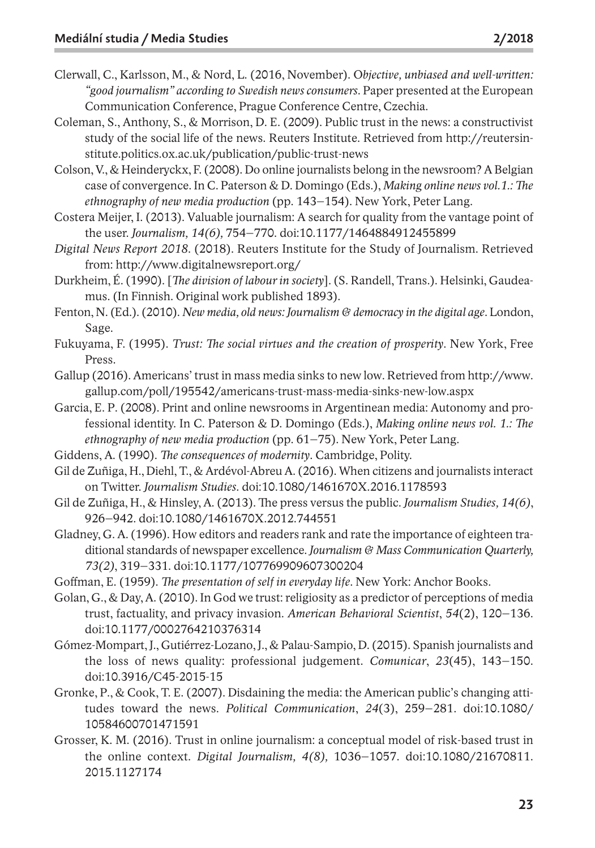- Clerwall, C., Karlsson, M., & Nord, L. (2016, November). O*bjective, unbiased and well-written: "good journalism" according to Swedish newsconsumers*. Paper presented at the European Communication Conference, Prague Conference Centre, Czechia.
- Coleman, S., Anthony, S., & Morrison, D. E. (2009). Public trust in the news: a constructivist study of the social life of the news. Reuters Institute. Retrieved from http://reutersinstitute.politics.ox.ac.uk/publication/public-trust-news
- Colson, V., & Heinderyckx, F.(2008). Do online journalists belong in the newsroom? A Belgian case of convergence. In C. Paterson & D. Domingo (Eds.), *Making online news vol.1.: The ethnography of new media production* (pp. 143–154). New York, Peter Lang.
- Costera Meijer, I. (2013). Valuable journalism: A search for quality from the vantage point of the user. *Journalism, 14(6),* 754–770. doi:10.1177/1464884912455899
- *Digital News Report 2018*. (2018). Reuters Institute for the Study of Journalism. Retrieved from: http://www.digitalnewsreport.org/
- Durkheim, É. (1990). [*The division of labour in society*]. (S. Randell, Trans.). Helsinki, Gaudeamus. (In Finnish. Original work published 1893).
- Fenton, N.(Ed.).(2010). *New media, old news: Journalism & democracy in the digital age*. London, Sage.
- Fukuyama, F. (1995). *Trust: The social virtues and the creation of prosperity*. New York, Free Press.
- Gallup (2016). Americans' trust in mass media sinks to new low. Retrieved from http://www. gallup.com/poll/195542/americans-trust-mass-media-sinks-new-low.aspx
- Garcia, E. P. (2008). Print and online newsrooms in Argentinean media: Autonomy and professional identity. In C. Paterson & D. Domingo (Eds.), *Making online news vol. 1.: The ethnography of new media production* (pp. 61–75). New York, Peter Lang.
- Giddens, A. (1990). *The consequences of modernity*. Cambridge, Polity.
- Gil de Zuñiga, H., Diehl, T., & Ardévol-Abreu A.(2016). When citizens and journalists interact on Twitter. *Journalism Studies*. doi:10.1080/1461670X.2016.1178593
- Gil de Zuñiga, H., & Hinsley, A. (2013). The press versus the public. *Journalism Studies, 14(6)*, 926–942. doi:10.1080/1461670X.2012.744551
- Gladney, G. A.(1996). How editors and readers rank and rate the importance of eighteen traditional standards of newspaper excellence. *Journalism & Mass Communication Quarterly, 73(2)*, 319–331. doi:10.1177/107769909607300204
- Goffman, E. (1959). *The presentation of self in everyday life*. New York: Anchor Books.
- Golan, G., & Day, A. (2010). In God we trust: religiosity as a predictor of perceptions of media trust, factuality, and privacy invasion. *American Behavioral Scientist*, *54*(2), 120–136. doi:10.1177/0002764210376314
- Gómez-Mompart, J., Gutiérrez-Lozano, J., & Palau-Sampio, D.(2015). Spanish journalists and the loss of news quality: professional judgement. *Comunicar*, *23*(45), 143–150. doi:10.3916/C45-2015-15
- Gronke, P., & Cook, T. E. (2007). Disdaining the media: the American public's changing attitudes toward the news. *Political Communication*, *24*(3), 259–281. doi:10.1080/ 10584600701471591
- Grosser, K. M. (2016). Trust in online journalism: a conceptual model of risk-based trust in the online context. *Digital Journalism, 4(8),* 1036–1057. doi:10.1080/21670811. 2015.1127174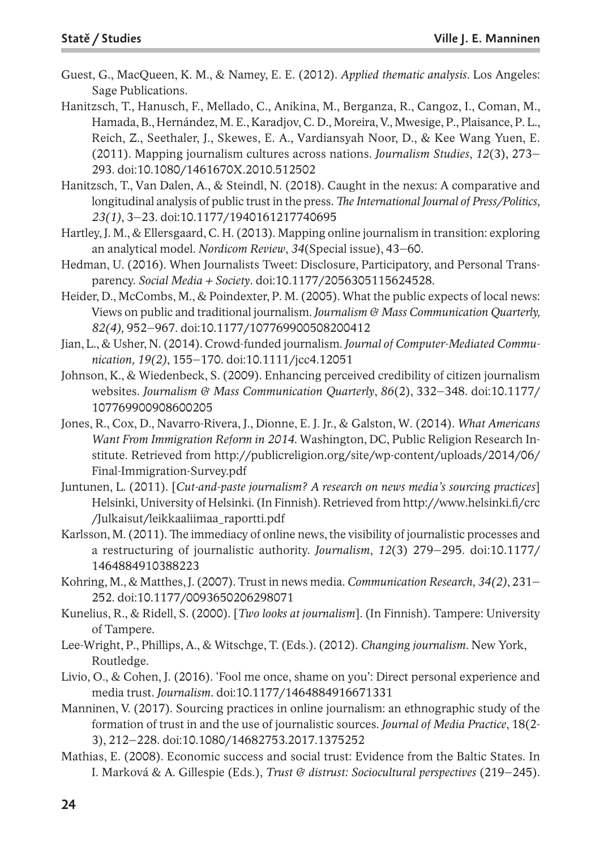- Guest, G., MacQueen, K. M., & Namey, E. E. (2012). *Applied thematic analysis*. Los Angeles: Sage Publications.
- Hanitzsch, T., Hanusch, F., Mellado, C., Anikina, M., Berganza, R., Cangoz, I., Coman, M., Hamada, B., Hernández, M. E., Karadjov, C. D., Moreira, V., Mwesige, P., Plaisance, P. L., Reich, Z., Seethaler, J., Skewes, E. A., Vardiansyah Noor, D., & Kee Wang Yuen, E. (2011). Mapping journalism cultures across nations. *Journalism Studies*, *12*(3), 273– 293. doi:10.1080/1461670X.2010.512502
- Hanitzsch, T., Van Dalen, A., & Steindl, N. (2018). Caught in the nexus: A comparative and longitudinal analysis of public trust in the press.*The International Journal of Press/Politics, 23(1)*, 3–23. doi:10.1177/1940161217740695
- Hartley, J. M., & Ellersgaard, C. H.(2013). Mapping online journalism in transition: exploring an analytical model. *Nordicom Review*, *34*(Special issue), 43–60.
- Hedman, U. (2016). When Journalists Tweet: Disclosure, Participatory, and Personal Transparency. *Social Media + Society*. doi:10.1177/2056305115624528.
- Heider, D., McCombs, M., & Poindexter, P. M. (2005). What the public expects of local news: Views on public and traditional journalism. *Journalism & Mass Communication Quarterly, 82(4),* 952–967. doi:10.1177/107769900508200412
- Jian, L., & Usher, N.(2014). Crowd-funded journalism. *Journal of Computer-Mediated Communication, 19(2)*, 155–170. doi:10.1111/jcc4.12051
- Johnson, K., & Wiedenbeck, S. (2009). Enhancing perceived credibility of citizen journalism websites. *Journalism & Mass Communication Quarterly*, *86*(2), 332–348. doi:10.1177/ 107769900908600205
- Jones, R., Cox, D., Navarro-Rivera, J., Dionne, E. J. Jr., & Galston, W. (2014). *What Americans Want From Immigration Reform in 2014.* Washington, DC, Public Religion Research Institute. Retrieved from http://publicreligion.org/site/wp-content/uploads/2014/06/ Final-Immigration-Survey.pdf
- Juntunen, L. (2011). [*Cut-and-paste journalism? A research on news media's sourcing practices*] Helsinki, University of Helsinki.(In Finnish). Retrieved from http://www.helsinki.fi/crc /Julkaisut/leikkaaliimaa\_raportti.pdf
- Karlsson, M.(2011). The immediacy of online news, the visibility of journalistic processes and a restructuring of journalistic authority. *Journalism*, *12*(3) 279–295. doi:10.1177/ 1464884910388223
- Kohring, M., & Matthes, J.(2007). Trust in news media. *Communication Research, 34(2)*, 231– 252. doi:10.1177/0093650206298071
- Kunelius, R., & Ridell, S. (2000). [*Two looks at journalism*]. (In Finnish). Tampere: University of Tampere.
- Lee-Wright, P., Phillips, A., & Witschge, T. (Eds.). (2012). *Changing journalism*. New York, Routledge.
- Livio, O., & Cohen, J. (2016). 'Fool me once, shame on you': Direct personal experience and media trust. *Journalism*. doi:10.1177/1464884916671331
- Manninen, V. (2017). Sourcing practices in online journalism: an ethnographic study of the formation of trust in and the use of journalistic sources. *Journal of Media Practice*, 18(2- 3), 212–228. doi:10.1080/14682753.2017.1375252
- Mathias, E. (2008). Economic success and social trust: Evidence from the Baltic States. In I. Marková & A. Gillespie (Eds.), *Trust & distrust: Sociocultural perspectives* (219–245).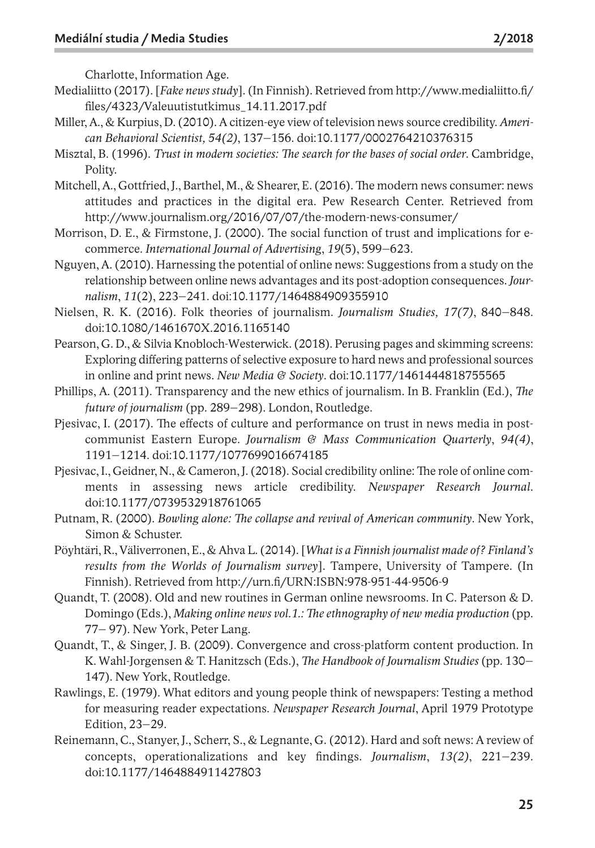Charlotte, Information Age.

- Medialiitto (2017). [*Fake news study*]. (In Finnish). Retrieved from http://www.medialiitto.fi/ files/4323/Valeuutistutkimus\_14.11.2017.pdf
- Miller, A., & Kurpius, D.(2010). A citizen-eye view of television news source credibility. *American Behavioral Scientist, 54(2)*, 137–156. doi:10.1177/0002764210376315
- Misztal, B. (1996). *Trust in modern societies: The search for the bases of social order*. Cambridge, Polity.
- Mitchell, A., Gottfried, J., Barthel, M., & Shearer, E.(2016). The modern news consumer: news attitudes and practices in the digital era. Pew Research Center. Retrieved from http://www.journalism.org/2016/07/07/the-modern-news-consumer/
- Morrison, D. E., & Firmstone, J. (2000). The social function of trust and implications for ecommerce. *International Journal of Advertising*, *19*(5), 599–623.
- Nguyen, A. (2010). Harnessing the potential of online news: Suggestions from a study on the relationship between online news advantages and its post-adoption consequences. *Journalism*, *11*(2), 223–241. doi:10.1177/1464884909355910
- Nielsen, R. K. (2016). Folk theories of journalism. *Journalism Studies, 17(7)*, 840–848. doi:10.1080/1461670X.2016.1165140
- Pearson, G. D., & Silvia Knobloch-Westerwick.(2018). Perusing pages and skimming screens: Exploring differing patterns of selective exposure to hard news and professional sources in online and print news. *New Media & Society*. doi:10.1177/1461444818755565
- Phillips, A. (2011). Transparency and the new ethics of journalism. In B. Franklin (Ed.), *The future of journalism* (pp. 289–298). London, Routledge.
- Pjesivac, I. (2017). The effects of culture and performance on trust in news media in postcommunist Eastern Europe. *Journalism & Mass Communication Quarterly*, *94(4)*, 1191–1214. doi:10.1177/1077699016674185
- Pjesivac, I., Geidner, N., & Cameron, J. (2018). Social credibility online: The role of online comments in assessing news article credibility. *Newspaper Research Journal*. doi:10.1177/0739532918761065
- Putnam, R. (2000). *Bowling alone: The collapse and revival of American community*. New York, Simon & Schuster.
- Pöyhtäri, R., Väliverronen, E., & Ahva L.(2014). [*What is a Finnish journalist made of? Finland's results from the Worlds of Journalism survey*]. Tampere, University of Tampere. (In Finnish). Retrieved from http://urn.fi/URN:ISBN:978-951-44-9506-9
- Quandt, T. (2008). Old and new routines in German online newsrooms. In C. Paterson & D. Domingo (Eds.), *Making online news vol.1.: The ethnography of new media production* (pp. 77– 97). New York, Peter Lang.
- Quandt, T., & Singer, J. B. (2009). Convergence and cross-platform content production. In K. Wahl-Jorgensen & T. Hanitzsch (Eds.), *The Handbook of Journalism Studies* (pp. 130– 147). New York, Routledge.
- Rawlings, E. (1979). What editors and young people think of newspapers: Testing a method for measuring reader expectations. *Newspaper Research Journal*, April 1979 Prototype Edition, 23–29.
- Reinemann, C., Stanyer, J., Scherr, S., & Legnante, G. (2012). Hard and soft news: A review of concepts, operationalizations and key findings. *Journalism*, *13(2)*, 221–239. doi:10.1177/1464884911427803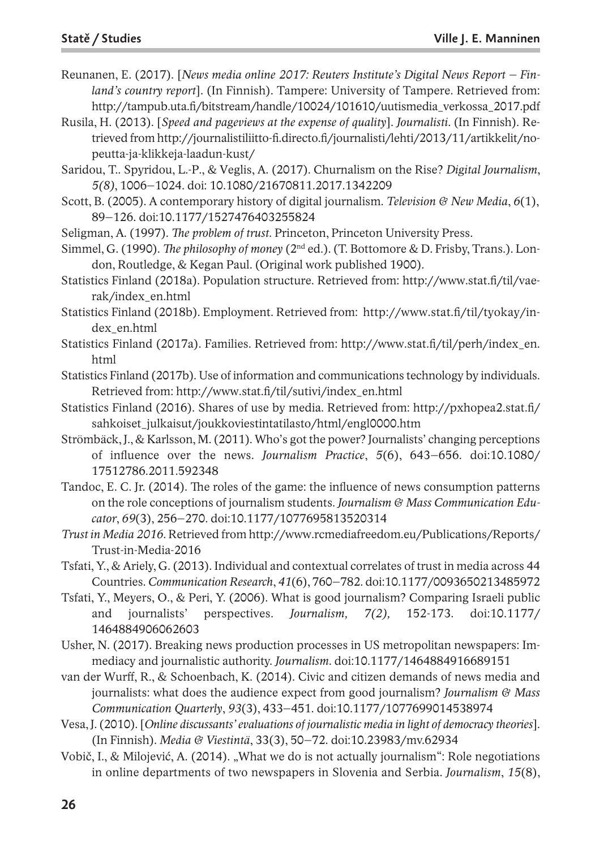- Reunanen, E. (2017). [*News media online 2017: Reuters Institute's Digital News Report – Finland's country report*]. (In Finnish). Tampere: University of Tampere. Retrieved from: http://tampub.uta.fi/bitstream/handle/10024/101610/uutismedia\_verkossa\_2017.pdf
- Rusila, H. (2013). [*Speed and pageviews at the expense of quality*]. *Journalisti*. (In Finnish). Retrieved from http://journalistiliitto-fi.directo.fi/journalisti/lehti/2013/11/artikkelit/nopeutta-ja-klikkeja-laadun-kust/
- Saridou, T.. Spyridou, L.-P., & Veglis, A. (2017). Churnalism on the Rise? *Digital Journalism*, *5(8)*, 1006–1024. doi: 10.1080/21670811.2017.1342209
- Scott, B. (2005). A contemporary history of digital journalism. *Television & New Media*, *6*(1), 89–126. doi:10.1177/1527476403255824
- Seligman, A. (1997). *The problem of trust.* Princeton, Princeton University Press.
- Simmel, G. (1990). *The philosophy of money* (2nd ed.). (T. Bottomore & D. Frisby, Trans.). London, Routledge, & Kegan Paul. (Original work published 1900).
- Statistics Finland (2018a). Population structure. Retrieved from: http://www.stat.fi/til/vaerak/index\_en.html
- Statistics Finland (2018b). Employment. Retrieved from: http://www.stat.fi/til/tyokay/index\_en.html
- Statistics Finland (2017a). Families. Retrieved from: http://www.stat.fi/til/perh/index\_en. html
- Statistics Finland (2017b). Use of information and communications technology by individuals. Retrieved from: http://www.stat.fi/til/sutivi/index\_en.html
- Statistics Finland (2016). Shares of use by media. Retrieved from: http://pxhopea2.stat.fi/ sahkoiset\_julkaisut/joukkoviestintatilasto/html/engl0000.htm
- Strömbäck, J., & Karlsson, M.(2011). Who's got the power? Journalists' changing perceptions of influence over the news. *Journalism Practice*, *5*(6), 643–656. doi:10.1080/ 17512786.2011.592348
- Tandoc, E. C. Jr. (2014). The roles of the game: the influence of news consumption patterns on the role conceptions of journalism students. *Journalism & Mass Communication Educator*, *69*(3), 256–270. doi:10.1177/1077695813520314
- *Trust in Media 2016*. Retrieved from http://www.rcmediafreedom.eu/Publications/Reports/ Trust-in-Media-2016
- Tsfati, Y., & Ariely, G.(2013). Individual and contextual correlates of trust in media across 44 Countries. *Communication Research*, *41*(6), 760–782. doi:10.1177/0093650213485972
- Tsfati, Y., Meyers, O., & Peri, Y. (2006). What is good journalism? Comparing Israeli public and journalists' perspectives. *Journalism, 7(2),* 152-173. doi:10.1177/ 1464884906062603
- Usher, N. (2017). Breaking news production processes in US metropolitan newspapers: Immediacy and journalistic authority. *Journalism*. doi:10.1177/1464884916689151
- van der Wurff, R., & Schoenbach, K. (2014). Civic and citizen demands of news media and journalists: what does the audience expect from good journalism? *Journalism & Mass Communication Quarterly*, *93*(3), 433–451. doi:10.1177/1077699014538974
- Vesa, J.(2010).[*Online discussants' evaluations of journalistic media in light of democracy theories*]. (In Finnish). *Media & Viestintä*, 33(3), 50–72. doi:10.23983/mv.62934
- Vobič, I., & Milojević, A. (2014). "What we do is not actually journalism": Role negotiations in online departments of two newspapers in Slovenia and Serbia. *Journalism*, *15*(8),